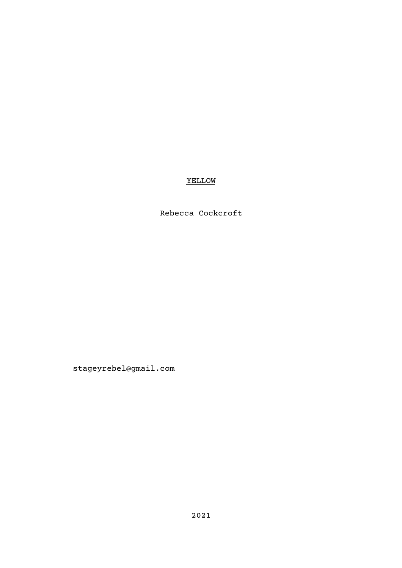## YELLOW

## Rebecca Cockcroft

stageyrebel@gmail.com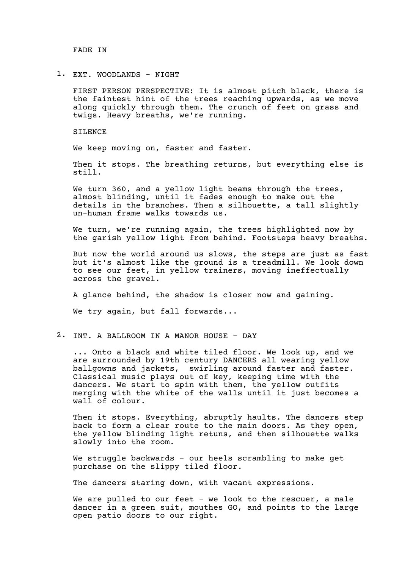FADE IN

1. EXT. WOODLANDS - NIGHT

FIRST PERSON PERSPECTIVE: It is almost pitch black, there is the faintest hint of the trees reaching upwards, as we move along quickly through them. The crunch of feet on grass and twigs. Heavy breaths, we're running.

SILENCE

We keep moving on, faster and faster.

Then it stops. The breathing returns, but everything else is still.

We turn 360, and a yellow light beams through the trees, almost blinding, until it fades enough to make out the details in the branches. Then a silhouette, a tall slightly un-human frame walks towards us.

We turn, we're running again, the trees highlighted now by the garish yellow light from behind. Footsteps heavy breaths.

But now the world around us slows, the steps are just as fast but it's almost like the ground is a treadmill. We look down to see our feet, in yellow trainers, moving ineffectually across the gravel.

A glance behind, the shadow is closer now and gaining.

We try again, but fall forwards...

2. INT. A BALLROOM IN A MANOR HOUSE - DAY

... Onto a black and white tiled floor. We look up, and we are surrounded by 19th century DANCERS all wearing yellow ballgowns and jackets, swirling around faster and faster. Classical music plays out of key, keeping time with the dancers. We start to spin with them, the yellow outfits merging with the white of the walls until it just becomes a wall of colour.

Then it stops. Everything, abruptly haults. The dancers step back to form a clear route to the main doors. As they open, the yellow blinding light retuns, and then silhouette walks slowly into the room.

We struggle backwards - our heels scrambling to make get purchase on the slippy tiled floor.

The dancers staring down, with vacant expressions.

We are pulled to our feet - we look to the rescuer, a male dancer in a green suit, mouthes GO, and points to the large open patio doors to our right.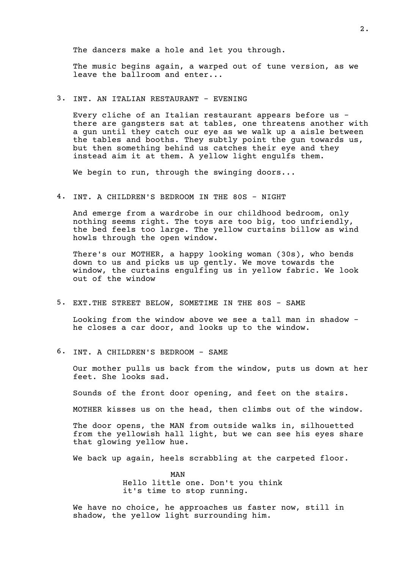The dancers make a hole and let you through.

The music begins again, a warped out of tune version, as we leave the ballroom and enter...

3. INT. AN ITALIAN RESTAURANT - EVENING

Every cliche of an Italian restaurant appears before us there are gangsters sat at tables, one threatens another with a gun until they catch our eye as we walk up a aisle between the tables and booths. They subtly point the gun towards us, but then something behind us catches their eye and they instead aim it at them. A yellow light engulfs them.

We begin to run, through the swinging doors...

4. INT. A CHILDREN'S BEDROOM IN THE 80S - NIGHT

And emerge from a wardrobe in our childhood bedroom, only nothing seems right. The toys are too big, too unfriendly, the bed feels too large. The yellow curtains billow as wind howls through the open window.

There's our MOTHER, a happy looking woman (30s), who bends down to us and picks us up gently. We move towards the window, the curtains engulfing us in yellow fabric. We look out of the window

5. EXT. THE STREET BELOW, SOMETIME IN THE 80S - SAME

Looking from the window above we see a tall man in shadow he closes a car door, and looks up to the window.

6. INT. A CHILDREN'S BEDROOM - SAME

Our mother pulls us back from the window, puts us down at her feet. She looks sad.

Sounds of the front door opening, and feet on the stairs.

MOTHER kisses us on the head, then climbs out of the window.

The door opens, the MAN from outside walks in, silhouetted from the yellowish hall light, but we can see his eyes share that glowing yellow hue.

We back up again, heels scrabbling at the carpeted floor.

MAN Hello little one. Don't you think it's time to stop running.

We have no choice, he approaches us faster now, still in shadow, the yellow light surrounding him.